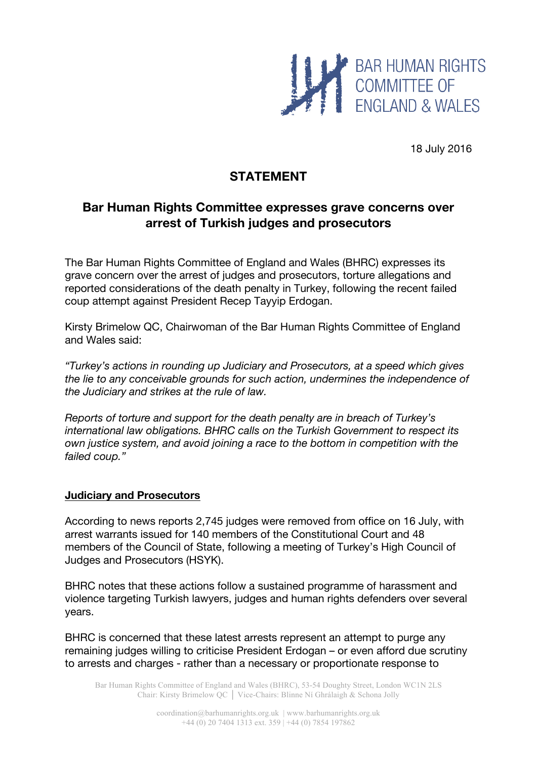

18 July 2016

# **STATEMENT**

# **Bar Human Rights Committee expresses grave concerns over arrest of Turkish judges and prosecutors**

The Bar Human Rights Committee of England and Wales (BHRC) expresses its grave concern over the arrest of judges and prosecutors, torture allegations and reported considerations of the death penalty in Turkey, following the recent failed coup attempt against President Recep Tayyip Erdogan.

Kirsty Brimelow QC, Chairwoman of the Bar Human Rights Committee of England and Wales said:

*"Turkey's actions in rounding up Judiciary and Prosecutors, at a speed which gives the lie to any conceivable grounds for such action, undermines the independence of the Judiciary and strikes at the rule of law.*

*Reports of torture and support for the death penalty are in breach of Turkey's international law obligations. BHRC calls on the Turkish Government to respect its own justice system, and avoid joining a race to the bottom in competition with the failed coup."*

### **Judiciary and Prosecutors**

According to news reports 2,745 judges were removed from office on 16 July, with arrest warrants issued for 140 members of the Constitutional Court and 48 members of the Council of State, following a meeting of Turkey's High Council of Judges and Prosecutors (HSYK).

BHRC notes that these actions follow a sustained programme of harassment and violence targeting Turkish lawyers, judges and human rights defenders over several years.

BHRC is concerned that these latest arrests represent an attempt to purge any remaining judges willing to criticise President Erdogan – or even afford due scrutiny to arrests and charges - rather than a necessary or proportionate response to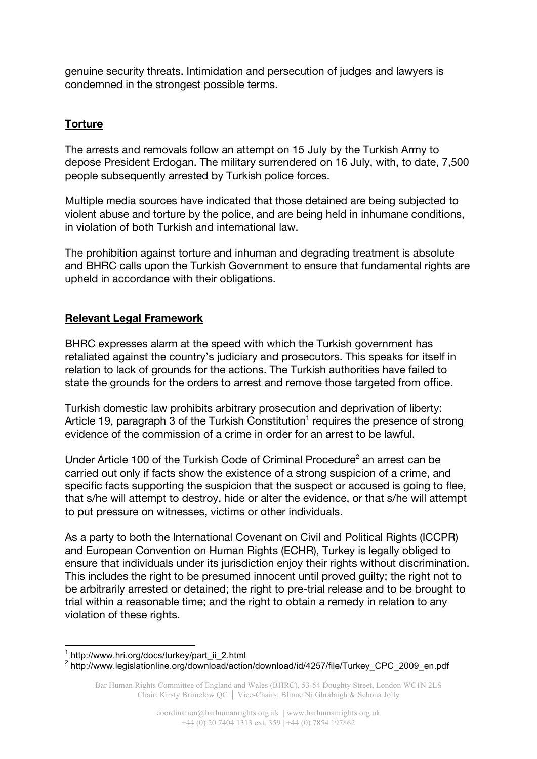genuine security threats. Intimidation and persecution of judges and lawyers is condemned in the strongest possible terms.

### **Torture**

The arrests and removals follow an attempt on 15 July by the Turkish Army to depose President Erdogan. The military surrendered on 16 July, with, to date, 7,500 people subsequently arrested by Turkish police forces.

Multiple media sources have indicated that those detained are being subjected to violent abuse and torture by the police, and are being held in inhumane conditions, in violation of both Turkish and international law.

The prohibition against torture and inhuman and degrading treatment is absolute and BHRC calls upon the Turkish Government to ensure that fundamental rights are upheld in accordance with their obligations.

### **Relevant Legal Framework**

BHRC expresses alarm at the speed with which the Turkish government has retaliated against the country's judiciary and prosecutors. This speaks for itself in relation to lack of grounds for the actions. The Turkish authorities have failed to state the grounds for the orders to arrest and remove those targeted from office.

Turkish domestic law prohibits arbitrary prosecution and deprivation of liberty: Article 19, paragraph 3 of the Turkish Constitution<sup>1</sup> requires the presence of strong evidence of the commission of a crime in order for an arrest to be lawful.

Under Article 100 of the Turkish Code of Criminal Procedure<sup>2</sup> an arrest can be carried out only if facts show the existence of a strong suspicion of a crime, and specific facts supporting the suspicion that the suspect or accused is going to flee, that s/he will attempt to destroy, hide or alter the evidence, or that s/he will attempt to put pressure on witnesses, victims or other individuals.

As a party to both the International Covenant on Civil and Political Rights (ICCPR) and European Convention on Human Rights (ECHR), Turkey is legally obliged to ensure that individuals under its jurisdiction enjoy their rights without discrimination. This includes the right to be presumed innocent until proved guilty; the right not to be arbitrarily arrested or detained; the right to pre-trial release and to be brought to trial within a reasonable time; and the right to obtain a remedy in relation to any violation of these rights.

 $1$  http://www.hri.org/docs/turkey/part\_ii\_2.html

<sup>2</sup> http://www.legislationline.org/download/action/download/id/4257/file/Turkey\_CPC\_2009\_en.pdf

Bar Human Rights Committee of England and Wales (BHRC), 53-54 Doughty Street, London WC1N 2LS Chair: Kirsty Brimelow QC │ Vice-Chairs: Blinne Ní Ghrálaigh & Schona Jolly